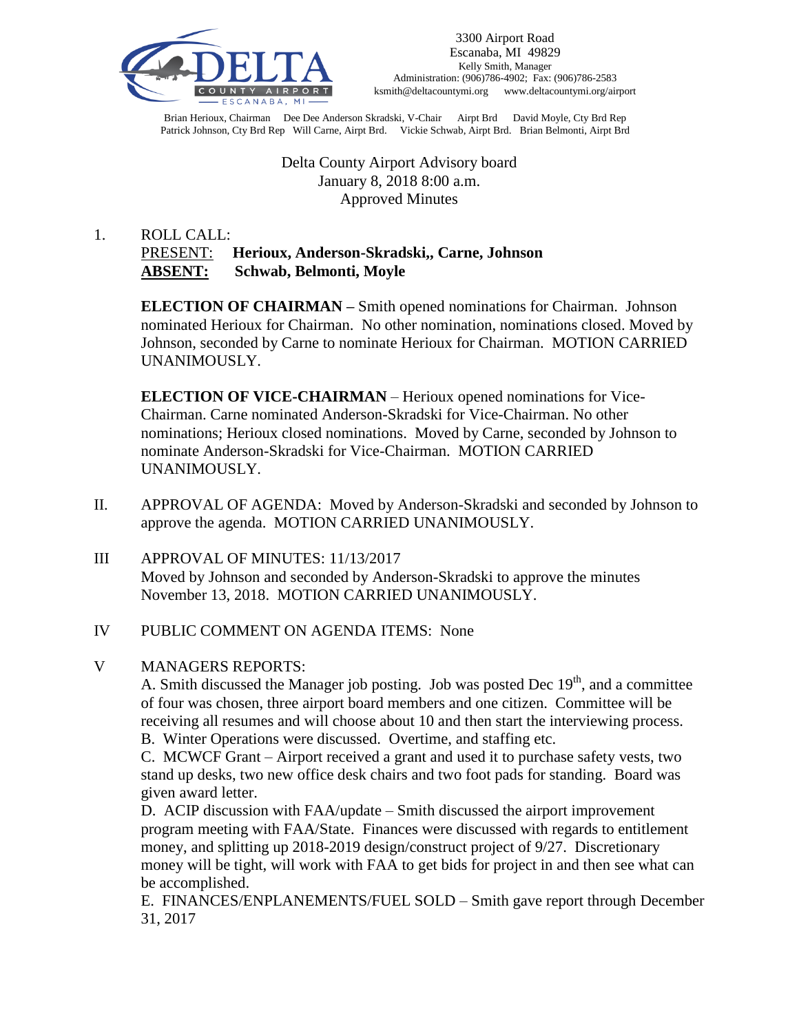

Brian Herioux, Chairman Dee Dee Anderson Skradski, V-Chair Airpt Brd David Moyle, Cty Brd Rep Patrick Johnson, Cty Brd Rep Will Carne, Airpt Brd. Vickie Schwab, Airpt Brd. Brian Belmonti, Airpt Brd

> Delta County Airport Advisory board January 8, 2018 8:00 a.m. Approved Minutes

# 1. ROLL CALL: PRESENT: **Herioux, Anderson-Skradski,, Carne, Johnson ABSENT: Schwab, Belmonti, Moyle**

**ELECTION OF CHAIRMAN –** Smith opened nominations for Chairman. Johnson nominated Herioux for Chairman. No other nomination, nominations closed. Moved by Johnson, seconded by Carne to nominate Herioux for Chairman. MOTION CARRIED UNANIMOUSLY.

**ELECTION OF VICE-CHAIRMAN** – Herioux opened nominations for Vice-Chairman. Carne nominated Anderson-Skradski for Vice-Chairman. No other nominations; Herioux closed nominations. Moved by Carne, seconded by Johnson to nominate Anderson-Skradski for Vice-Chairman. MOTION CARRIED UNANIMOUSLY.

- II. APPROVAL OF AGENDA: Moved by Anderson-Skradski and seconded by Johnson to approve the agenda. MOTION CARRIED UNANIMOUSLY.
- III APPROVAL OF MINUTES: 11/13/2017 Moved by Johnson and seconded by Anderson-Skradski to approve the minutes November 13, 2018. MOTION CARRIED UNANIMOUSLY.

#### IV PUBLIC COMMENT ON AGENDA ITEMS: None

## V MANAGERS REPORTS:

A. Smith discussed the Manager job posting. Job was posted Dec  $19<sup>th</sup>$ , and a committee of four was chosen, three airport board members and one citizen. Committee will be receiving all resumes and will choose about 10 and then start the interviewing process.

B. Winter Operations were discussed. Overtime, and staffing etc.

C. MCWCF Grant – Airport received a grant and used it to purchase safety vests, two stand up desks, two new office desk chairs and two foot pads for standing. Board was given award letter.

D. ACIP discussion with FAA/update – Smith discussed the airport improvement program meeting with FAA/State. Finances were discussed with regards to entitlement money, and splitting up 2018-2019 design/construct project of 9/27. Discretionary money will be tight, will work with FAA to get bids for project in and then see what can be accomplished.

E. FINANCES/ENPLANEMENTS/FUEL SOLD – Smith gave report through December 31, 2017